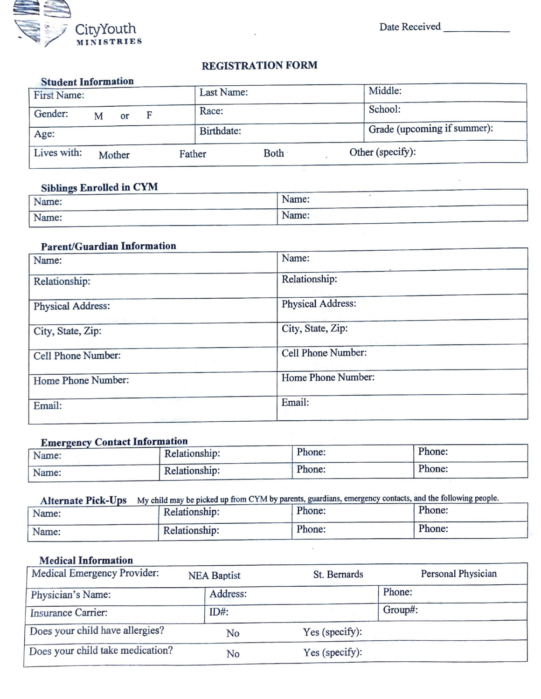

Date Received

# **REGISTRATION FORM**

| <b>Student Information</b> |   |        |   |        |            |      |  |                             |
|----------------------------|---|--------|---|--------|------------|------|--|-----------------------------|
| First Name:                |   |        |   |        | Last Name: |      |  | Middle:                     |
| Gender:                    | M | or     | F |        | Race:      |      |  | School:                     |
| Age:                       |   |        |   |        | Birthdate: |      |  | Grade (upcoming if summer): |
| Lives with:                |   | Mother |   | Father |            | Both |  | Other (specify):            |

### **Siblings Enrolled in CYM**

| ______<br>Name: | Name:           |  |
|-----------------|-----------------|--|
| Name:           | Name:<br>______ |  |

# **Parent/Guardian Information**

| Name:                                         | Name:              |
|-----------------------------------------------|--------------------|
| Relationship:                                 | Relationship:      |
| Physical Address:                             | Physical Address:  |
| Provide the contact con-<br>City, State, Zip: | City, State, Zip:  |
| Cell Phone Number:                            | Cell Phone Number: |
| Home Phone Number:                            | Home Phone Number: |
| Email:<br>The Monter                          | Email:             |

## **Emergency Contact Information**

| $-$<br>Name: | Relationship: | Phone: | Phone: |
|--------------|---------------|--------|--------|
| Name:        | Relationship: | Phone: | Phone: |

# Alternate Pick-Ups My child may be picked up from CYM by parents, guardians, emergency contacts, and the following people.

| Name: | Relationship: | Phone: | Phone: |
|-------|---------------|--------|--------|
| Name: | Relationship: | Phone: | Phone: |

## **Medical Information**

| Medical Emergency Provider:      | <b>NEA Baptist</b> | St. Bernards   | Personal Physician |
|----------------------------------|--------------------|----------------|--------------------|
| Physician's Name:                | Address:           |                | Phone:             |
| Insurance Carrier:               | $ID#$ :            |                | Group#:            |
| Does your child have allergies?  | No                 | Yes (specify): |                    |
| Does your child take medication? | No                 | Yes (specify): |                    |